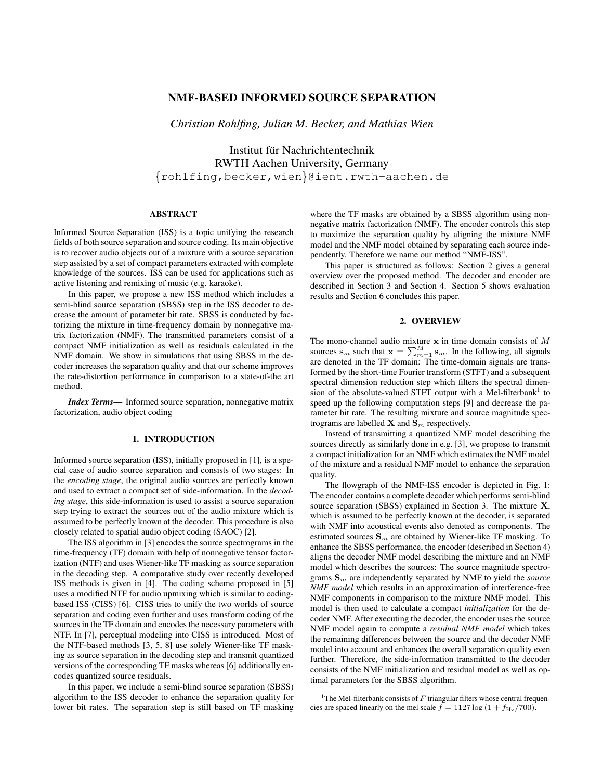# NMF-BASED INFORMED SOURCE SEPARATION

*Christian Rohlfing, Julian M. Becker, and Mathias Wien*

Institut für Nachrichtentechnik RWTH Aachen University, Germany {rohlfing,becker,wien}@ient.rwth-aachen.de

## ABSTRACT

Informed Source Separation (ISS) is a topic unifying the research fields of both source separation and source coding. Its main objective is to recover audio objects out of a mixture with a source separation step assisted by a set of compact parameters extracted with complete knowledge of the sources. ISS can be used for applications such as active listening and remixing of music (e.g. karaoke).

In this paper, we propose a new ISS method which includes a semi-blind source separation (SBSS) step in the ISS decoder to decrease the amount of parameter bit rate. SBSS is conducted by factorizing the mixture in time-frequency domain by nonnegative matrix factorization (NMF). The transmitted parameters consist of a compact NMF initialization as well as residuals calculated in the NMF domain. We show in simulations that using SBSS in the decoder increases the separation quality and that our scheme improves the rate-distortion performance in comparison to a state-of-the art method.

*Index Terms*— Informed source separation, nonnegative matrix factorization, audio object coding

## 1. INTRODUCTION

Informed source separation (ISS), initially proposed in [1], is a special case of audio source separation and consists of two stages: In the *encoding stage*, the original audio sources are perfectly known and used to extract a compact set of side-information. In the *decoding stage*, this side-information is used to assist a source separation step trying to extract the sources out of the audio mixture which is assumed to be perfectly known at the decoder. This procedure is also closely related to spatial audio object coding (SAOC) [2].

The ISS algorithm in [3] encodes the source spectrograms in the time-frequency (TF) domain with help of nonnegative tensor factorization (NTF) and uses Wiener-like TF masking as source separation in the decoding step. A comparative study over recently developed ISS methods is given in [4]. The coding scheme proposed in [5] uses a modified NTF for audio upmixing which is similar to codingbased ISS (CISS) [6]. CISS tries to unify the two worlds of source separation and coding even further and uses transform coding of the sources in the TF domain and encodes the necessary parameters with NTF. In [7], perceptual modeling into CISS is introduced. Most of the NTF-based methods [3, 5, 8] use solely Wiener-like TF masking as source separation in the decoding step and transmit quantized versions of the corresponding TF masks whereas [6] additionally encodes quantized source residuals.

In this paper, we include a semi-blind source separation (SBSS) algorithm to the ISS decoder to enhance the separation quality for lower bit rates. The separation step is still based on TF masking where the TF masks are obtained by a SBSS algorithm using nonnegative matrix factorization (NMF). The encoder controls this step to maximize the separation quality by aligning the mixture NMF model and the NMF model obtained by separating each source independently. Therefore we name our method "NMF-ISS".

This paper is structured as follows: Section 2 gives a general overview over the proposed method. The decoder and encoder are described in Section 3 and Section 4. Section 5 shows evaluation results and Section 6 concludes this paper.

## 2. OVERVIEW

The mono-channel audio mixture  $x$  in time domain consists of  $M$ sources  $\mathbf{s}_m$  such that  $\mathbf{x} = \sum_{m=1}^{M} \mathbf{s}_m$ . In the following, all signals are denoted in the TF domain: The time-domain signals are transformed by the short-time Fourier transform (STFT) and a subsequent spectral dimension reduction step which filters the spectral dimension of the absolute-valued STFT output with a Mel-filterbank<sup>1</sup> to speed up the following computation steps [9] and decrease the parameter bit rate. The resulting mixture and source magnitude spectrograms are labelled **X** and  $\mathbf{S}_m$  respectively.

Instead of transmitting a quantized NMF model describing the sources directly as similarly done in e.g. [3], we propose to transmit a compact initialization for an NMF which estimates the NMF model of the mixture and a residual NMF model to enhance the separation quality.

The flowgraph of the NMF-ISS encoder is depicted in Fig. 1: The encoder contains a complete decoder which performs semi-blind source separation (SBSS) explained in Section 3. The mixture X, which is assumed to be perfectly known at the decoder, is separated with NMF into acoustical events also denoted as components. The estimated sources  $\mathbf{S}_m$  are obtained by Wiener-like TF masking. To enhance the SBSS performance, the encoder (described in Section 4) aligns the decoder NMF model describing the mixture and an NMF model which describes the sources: The source magnitude spectrograms  $S_m$  are independently separated by NMF to yield the *source NMF model* which results in an approximation of interference-free NMF components in comparison to the mixture NMF model. This model is then used to calculate a compact *initialization* for the decoder NMF. After executing the decoder, the encoder uses the source NMF model again to compute a *residual NMF model* which takes the remaining differences between the source and the decoder NMF model into account and enhances the overall separation quality even further. Therefore, the side-information transmitted to the decoder consists of the NMF initialization and residual model as well as optimal parameters for the SBSS algorithm.

<sup>1</sup>The Mel-filterbank consists of  $F$  triangular filters whose central frequencies are spaced linearly on the mel scale  $f = 1127 \log (1 + f_{\text{Hz}}/700)$ .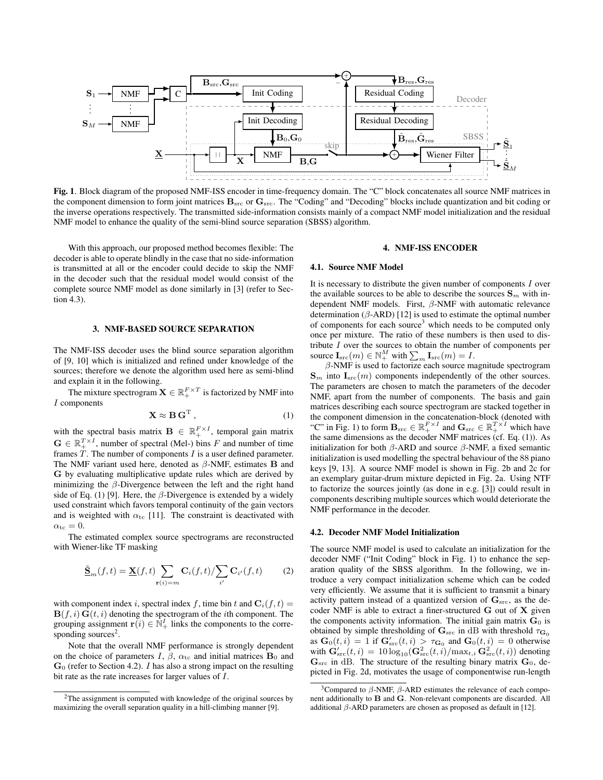

Fig. 1. Block diagram of the proposed NMF-ISS encoder in time-frequency domain. The "C" block concatenates all source NMF matrices in the component dimension to form joint matrices  $B_{src}$  or  $G_{src}$ . The "Coding" and "Decoding" blocks include quantization and bit coding or the inverse operations respectively. The transmitted side-information consists mainly of a compact NMF model initialization and the residual NMF model to enhance the quality of the semi-blind source separation (SBSS) algorithm.

With this approach, our proposed method becomes flexible: The decoder is able to operate blindly in the case that no side-information is transmitted at all or the encoder could decide to skip the NMF in the decoder such that the residual model would consist of the complete source NMF model as done similarly in [3] (refer to Section 4.3).

#### 3. NMF-BASED SOURCE SEPARATION

The NMF-ISS decoder uses the blind source separation algorithm of [9, 10] which is initialized and refined under knowledge of the sources; therefore we denote the algorithm used here as semi-blind and explain it in the following.

The mixture spectrogram  $\mathbf{X} \in \mathbb{R}_+^{F \times T}$  is factorized by NMF into I components

$$
\mathbf{X} \approx \mathbf{B} \mathbf{G}^{\mathrm{T}} , \qquad (1)
$$

with the spectral basis matrix  $\mathbf{B} \in \mathbb{R}_+^{F \times I}$ , temporal gain matrix  $\mathbf{G} \in \mathbb{R}_+^{T \times I}$ , number of spectral (Mel-) bins F and number of time frames  $\dot{T}$ . The number of components  $I$  is a user defined parameter. The NMF variant used here, denoted as  $\beta$ -NMF, estimates **B** and G by evaluating multiplicative update rules which are derived by minimizing the  $\beta$ -Divergence between the left and the right hand side of Eq. (1) [9]. Here, the  $\beta$ -Divergence is extended by a widely used constraint which favors temporal continuity of the gain vectors and is weighted with  $\alpha_{\text{tc}}$  [11]. The constraint is deactivated with  $\alpha_{\rm tc}=0.$ 

The estimated complex source spectrograms are reconstructed with Wiener-like TF masking

$$
\underline{\tilde{\mathbf{S}}}_{m}(f,t) = \underline{\mathbf{X}}(f,t) \sum_{\mathbf{r}(i)=m} \mathbf{C}_{i}(f,t) / \sum_{i'} \mathbf{C}_{i'}(f,t)
$$
(2)

with component index i, spectral index f, time bin t and  $C_i(f, t)$  =  $\mathbf{B}(f, i) \mathbf{G}(t, i)$  denoting the spectrogram of the *i*th component. The grouping assignment  $\mathbf{r}(i) \in \mathbb{N}^I_+$  links the components to the corresponding sources<sup>2</sup>.

Note that the overall NMF performance is strongly dependent on the choice of parameters I,  $\beta$ ,  $\alpha_{\rm tc}$  and initial matrices  $B_0$  and  $\mathbf{G}_0$  (refer to Section 4.2). *I* has also a strong impact on the resulting bit rate as the rate increases for larger values of I.

### 4. NMF-ISS ENCODER

#### 4.1. Source NMF Model

It is necessary to distribute the given number of components  $I$  over the available sources to be able to describe the sources  $\mathbf{S}_m$  with independent NMF models. First, β-NMF with automatic relevance determination ( $\beta$ -ARD) [12] is used to estimate the optimal number of components for each source<sup>3</sup> which needs to be computed only once per mixture. The ratio of these numbers is then used to distribute  $I$  over the sources to obtain the number of components per source  $\mathbf{I}_{\text{src}}(m) \in \mathbb{N}_{+}^{M}$  with  $\sum_{m} \mathbf{I}_{\text{src}}(m) = I$ .

 $\beta$ -NMF is used to factorize each source magnitude spectrogram  $\mathbf{S}_m$  into  $\mathbf{I}_{\text{src}}(m)$  components independently of the other sources. The parameters are chosen to match the parameters of the decoder NMF, apart from the number of components. The basis and gain matrices describing each source spectrogram are stacked together in the component dimension in the concatenation-block (denoted with "C" in Fig. 1) to form  $B_{src} \in \mathbb{R}_+^{F \times I}$  and  $G_{src} \in \mathbb{R}_+^{T \times I}$  which have the same dimensions as the decoder NMF matrices (cf. Eq. (1)). As initialization for both  $β$ -ARD and source  $β$ -NMF, a fixed semantic initialization is used modelling the spectral behaviour of the 88 piano keys [9, 13]. A source NMF model is shown in Fig. 2b and 2c for an exemplary guitar-drum mixture depicted in Fig. 2a. Using NTF to factorize the sources jointly (as done in e.g. [3]) could result in components describing multiple sources which would deteriorate the NMF performance in the decoder.

#### 4.2. Decoder NMF Model Initialization

The source NMF model is used to calculate an initialization for the decoder NMF ("Init Coding" block in Fig. 1) to enhance the separation quality of the SBSS algorithm. In the following, we introduce a very compact initialization scheme which can be coded very efficiently. We assume that it is sufficient to transmit a binary activity pattern instead of a quantized version of  $\mathbf{G}_{\text{src}}$ , as the decoder NMF is able to extract a finer-structured G out of X given the components activity information. The initial gain matrix  $G_0$  is obtained by simple thresholding of  $\mathbf{G}_{\text{src}}$  in dB with threshold  $\tau_{\mathbf{G}_0}$ as  $\mathbf{G}_0(t,i) = 1$  if  $\mathbf{G}_{\text{src}}'(t,i) > \tau_{\mathbf{G}_0}$  and  $\mathbf{G}_0(t,i) = 0$  otherwise with  $\mathbf{G}_{\text{src}}'(t, i) = 10 \log_{10}(\mathbf{G}_{\text{src}}^2(t, i) / \max_{t, i} \mathbf{G}_{\text{src}}^2(t, i))$  denoting  $\mathbf{G}_{\text{src}}$  in dB. The structure of the resulting binary matrix  $\mathbf{G}_0$ , depicted in Fig. 2d, motivates the usage of componentwise run-length

<sup>2</sup>The assignment is computed with knowledge of the original sources by maximizing the overall separation quality in a hill-climbing manner [9].

<sup>&</sup>lt;sup>3</sup>Compared to  $β$ -NMF,  $β$ -ARD estimates the relevance of each component additionally to B and G. Non-relevant components are discarded. All additional  $\beta$ -ARD parameters are chosen as proposed as default in [12].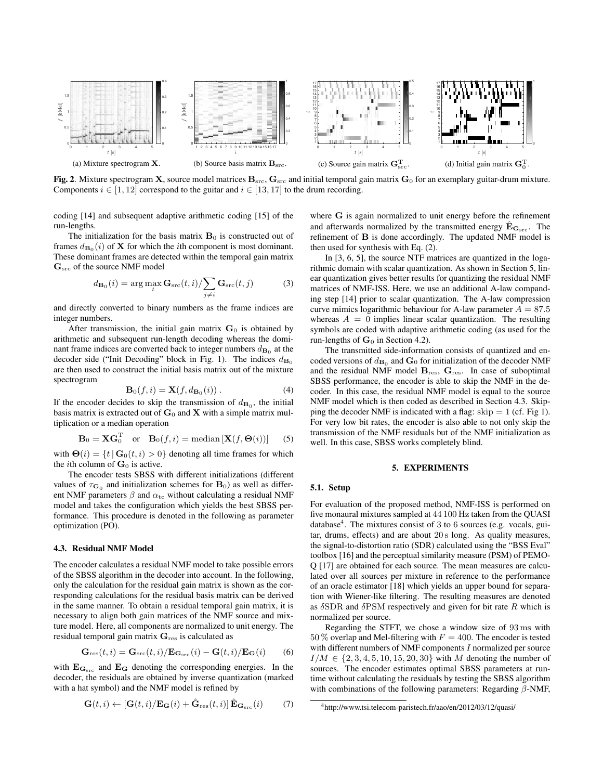

Fig. 2. Mixture spectrogram X, source model matrices  $B_{src}$ ,  $G_{src}$  and initial temporal gain matrix  $G_0$  for an exemplary guitar-drum mixture. Components  $i \in [1, 12]$  correspond to the guitar and  $i \in [13, 17]$  to the drum recording.

coding [14] and subsequent adaptive arithmetic coding [15] of the run-lengths.

The initialization for the basis matrix  $B_0$  is constructed out of frames  $d_{\mathbf{B}_0}(i)$  of **X** for which the *i*th component is most dominant. These dominant frames are detected within the temporal gain matrix  $\mathbf{G}_{\text{src}}$  of the source NMF model

$$
d_{\mathbf{B}_0}(i) = \arg\max_t \mathbf{G}_{\rm src}(t, i) / \sum_{j \neq i} \mathbf{G}_{\rm src}(t, j)
$$
(3)

and directly converted to binary numbers as the frame indices are integer numbers.

After transmission, the initial gain matrix  $G_0$  is obtained by arithmetic and subsequent run-length decoding whereas the dominant frame indices are converted back to integer numbers  $d_{\mathbf{B}_0}$  at the decoder side ("Init Decoding" block in Fig. 1). The indices  $d_{\mathbf{B}_0}$ are then used to construct the initial basis matrix out of the mixture spectrogram

$$
\mathbf{B}_0(f, i) = \mathbf{X}(f, d_{\mathbf{B}_0}(i)). \tag{4}
$$

If the encoder decides to skip the transmission of  $d_{\mathbf{B}_0}$ , the initial basis matrix is extracted out of  $G_0$  and X with a simple matrix multiplication or a median operation

$$
\mathbf{B}_0 = \mathbf{X} \mathbf{G}_0^{\mathrm{T}} \quad \text{or} \quad \mathbf{B}_0(f, i) = \text{median} \left[ \mathbf{X}(f, \mathbf{\Theta}(i)) \right] \tag{5}
$$

with  $\mathbf{\Theta}(i) = \{t \mid \mathbf{G}_0(t, i) > 0\}$  denoting all time frames for which the *i*th column of  $\mathbf{G}_0$  is active.

The encoder tests SBSS with different initializations (different values of  $\tau_{\mathbf{G}_0}$  and initialization schemes for  $\mathbf{B}_0$ ) as well as different NMF parameters  $\beta$  and  $\alpha_{\rm tc}$  without calculating a residual NMF model and takes the configuration which yields the best SBSS performance. This procedure is denoted in the following as parameter optimization (PO).

#### 4.3. Residual NMF Model

The encoder calculates a residual NMF model to take possible errors of the SBSS algorithm in the decoder into account. In the following, only the calculation for the residual gain matrix is shown as the corresponding calculations for the residual basis matrix can be derived in the same manner. To obtain a residual temporal gain matrix, it is necessary to align both gain matrices of the NMF source and mixture model. Here, all components are normalized to unit energy. The residual temporal gain matrix  $G_{res}$  is calculated as

$$
\mathbf{G}_{\text{res}}(t,i) = \mathbf{G}_{\text{src}}(t,i)/\mathbf{E}_{\mathbf{G}_{\text{src}}}(i) - \mathbf{G}(t,i)/\mathbf{E}_{\mathbf{G}}(i) \qquad (6)
$$

with  $\mathbf{E}_{\mathbf{G}_{src}}$  and  $\mathbf{E}_{\mathbf{G}}$  denoting the corresponding energies. In the decoder, the residuals are obtained by inverse quantization (marked with a hat symbol) and the NMF model is refined by

$$
\mathbf{G}(t,i) \leftarrow [\mathbf{G}(t,i)/\mathbf{E}_{\mathbf{G}}(i) + \hat{\mathbf{G}}_{\text{res}}(t,i)] \,\hat{\mathbf{E}}_{\mathbf{G}_{\text{src}}}(i) \tag{7}
$$

where G is again normalized to unit energy before the refinement and afterwards normalized by the transmitted energy  $\hat{\mathbf{E}}_{\mathbf{G}_{src}}$ . The refinement of B is done accordingly. The updated NMF model is then used for synthesis with Eq. (2).

In [3, 6, 5], the source NTF matrices are quantized in the logarithmic domain with scalar quantization. As shown in Section 5, linear quantization gives better results for quantizing the residual NMF matrices of NMF-ISS. Here, we use an additional A-law companding step [14] prior to scalar quantization. The A-law compression curve mimics logarithmic behaviour for A-law parameter  $A = 87.5$ whereas  $A = 0$  implies linear scalar quantization. The resulting symbols are coded with adaptive arithmetic coding (as used for the run-lengths of  $G_0$  in Section 4.2).

The transmitted side-information consists of quantized and encoded versions of  $d_{\mathbf{B}_0}$  and  $\mathbf{G}_0$  for initialization of the decoder NMF and the residual NMF model  $B_{res}$ ,  $G_{res}$ . In case of suboptimal SBSS performance, the encoder is able to skip the NMF in the decoder. In this case, the residual NMF model is equal to the source NMF model which is then coded as described in Section 4.3. Skipping the decoder NMF is indicated with a flag:  $skip = 1$  (cf. Fig 1). For very low bit rates, the encoder is also able to not only skip the transmission of the NMF residuals but of the NMF initialization as well. In this case, SBSS works completely blind.

#### 5. EXPERIMENTS

#### 5.1. Setup

For evaluation of the proposed method, NMF-ISS is performed on five monaural mixtures sampled at 44 100 Hz taken from the QUASI database<sup>4</sup>. The mixtures consist of 3 to 6 sources (e.g. vocals, guitar, drums, effects) and are about 20 s long. As quality measures, the signal-to-distortion ratio (SDR) calculated using the "BSS Eval" toolbox [16] and the perceptual similarity measure (PSM) of PEMO-Q [17] are obtained for each source. The mean measures are calculated over all sources per mixture in reference to the performance of an oracle estimator [18] which yields an upper bound for separation with Wiener-like filtering. The resulting measures are denoted as  $\delta$ SDR and  $\delta$ PSM respectively and given for bit rate R which is normalized per source.

Regarding the STFT, we chose a window size of 93 ms with 50 % overlap and Mel-filtering with  $F = 400$ . The encoder is tested with different numbers of NMF components I normalized per source  $I/M \in \{2, 3, 4, 5, 10, 15, 20, 30\}$  with M denoting the number of sources. The encoder estimates optimal SBSS parameters at runtime without calculating the residuals by testing the SBSS algorithm with combinations of the following parameters: Regarding  $\beta$ -NMF,

<sup>4</sup>http://www.tsi.telecom-paristech.fr/aao/en/2012/03/12/quasi/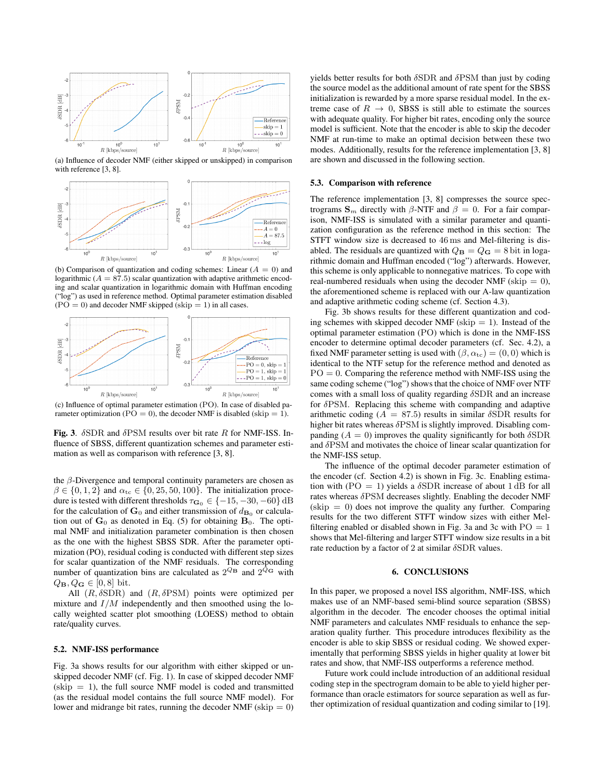

(a) Influence of decoder NMF (either skipped or unskipped) in comparison with reference [3, 8].



(b) Comparison of quantization and coding schemes: Linear  $(A = 0)$  and logarithmic ( $A = 87.5$ ) scalar quantization with adaptive arithmetic encoding and scalar quantization in logarithmic domain with Huffman encoding ("log") as used in reference method. Optimal parameter estimation disabled  $(PO = 0)$  and decoder NMF skipped (skip = 1) in all cases.



(c) Influence of optimal parameter estimation (PO). In case of disabled parameter optimization ( $\overline{PO} = 0$ ), the decoder NMF is disabled (skip = 1).

Fig. 3.  $\delta$ SDR and  $\delta$ PSM results over bit rate R for NMF-ISS. Influence of SBSS, different quantization schemes and parameter estimation as well as comparison with reference [3, 8].

the  $\beta$ -Divergence and temporal continuity parameters are chosen as  $\beta \in \{0, 1, 2\}$  and  $\alpha_{\rm tc} \in \{0, 25, 50, 100\}$ . The initialization procedure is tested with different thresholds  $\tau_{\mathbf{G}_0} \in \{-15, -30, -60\}$  dB for the calculation of  $G_0$  and either transmission of  $d_{\mathbf{B}_0}$  or calculation out of  $G_0$  as denoted in Eq. (5) for obtaining  $B_0$ . The optimal NMF and initialization parameter combination is then chosen as the one with the highest SBSS SDR. After the parameter optimization (PO), residual coding is conducted with different step sizes for scalar quantization of the NMF residuals. The corresponding number of quantization bins are calculated as  $2^{Q_{\rm B}}$  and  $2^{Q_{\rm G}}$  with  $Q_{\mathbf{B}}, Q_{\mathbf{G}} \in [0,8]$  bit.

All  $(R, \delta SDR)$  and  $(R, \delta PSM)$  points were optimized per mixture and  $I/M$  independently and then smoothed using the locally weighted scatter plot smoothing (LOESS) method to obtain rate/quality curves.

#### 5.2. NMF-ISS performance

Fig. 3a shows results for our algorithm with either skipped or unskipped decoder NMF (cf. Fig. 1). In case of skipped decoder NMF  $(skip = 1)$ , the full source NMF model is coded and transmitted (as the residual model contains the full source NMF model). For lower and midrange bit rates, running the decoder NMF (skip  $= 0$ )

yields better results for both  $\delta$ SDR and  $\delta$ PSM than just by coding the source model as the additional amount of rate spent for the SBSS initialization is rewarded by a more sparse residual model. In the extreme case of  $R \rightarrow 0$ , SBSS is still able to estimate the sources with adequate quality. For higher bit rates, encoding only the source model is sufficient. Note that the encoder is able to skip the decoder NMF at run-time to make an optimal decision between these two modes. Additionally, results for the reference implementation [3, 8] are shown and discussed in the following section.

#### 5.3. Comparison with reference

The reference implementation [3, 8] compresses the source spectrograms  $S_m$  directly with  $\beta$ -NTF and  $\beta = 0$ . For a fair comparison, NMF-ISS is simulated with a similar parameter and quantization configuration as the reference method in this section: The STFT window size is decreased to 46 ms and Mel-filtering is disabled. The residuals are quantized with  $Q_{\bf B} = Q_{\bf G} = 8$  bit in logarithmic domain and Huffman encoded ("log") afterwards. However, this scheme is only applicable to nonnegative matrices. To cope with real-numbered residuals when using the decoder NMF (skip  $= 0$ ), the aforementioned scheme is replaced with our A-law quantization and adaptive arithmetic coding scheme (cf. Section 4.3).

Fig. 3b shows results for these different quantization and coding schemes with skipped decoder NMF (skip  $= 1$ ). Instead of the optimal parameter estimation (PO) which is done in the NMF-ISS encoder to determine optimal decoder parameters (cf. Sec. 4.2), a fixed NMF parameter setting is used with  $(\beta, \alpha_{\rm tc}) = (0, 0)$  which is identical to the NTF setup for the reference method and denoted as  $PO = 0$ . Comparing the reference method with NMF-ISS using the same coding scheme ("log") shows that the choice of NMF over NTF comes with a small loss of quality regarding  $\delta$ SDR and an increase for δPSM. Replacing this scheme with companding and adaptive arithmetic coding ( $A = 87.5$ ) results in similar  $\delta$ SDR results for higher bit rates whereas  $\delta$ PSM is slightly improved. Disabling companding ( $A = 0$ ) improves the quality significantly for both  $\delta$ SDR and δPSM and motivates the choice of linear scalar quantization for the NMF-ISS setup.

The influence of the optimal decoder parameter estimation of the encoder (cf. Section 4.2) is shown in Fig. 3c. Enabling estimation with (PO = 1) yields a  $\delta$ SDR increase of about 1 dB for all rates whereas δPSM decreases slightly. Enabling the decoder NMF  $(skip = 0)$  does not improve the quality any further. Comparing results for the two different STFT window sizes with either Melfiltering enabled or disabled shown in Fig. 3a and 3c with  $PO = 1$ shows that Mel-filtering and larger STFT window size results in a bit rate reduction by a factor of 2 at similar  $\delta$ SDR values.

#### 6. CONCLUSIONS

In this paper, we proposed a novel ISS algorithm, NMF-ISS, which makes use of an NMF-based semi-blind source separation (SBSS) algorithm in the decoder. The encoder chooses the optimal initial NMF parameters and calculates NMF residuals to enhance the separation quality further. This procedure introduces flexibility as the encoder is able to skip SBSS or residual coding. We showed experimentally that performing SBSS yields in higher quality at lower bit rates and show, that NMF-ISS outperforms a reference method.

Future work could include introduction of an additional residual coding step in the spectrogram domain to be able to yield higher performance than oracle estimators for source separation as well as further optimization of residual quantization and coding similar to [19].